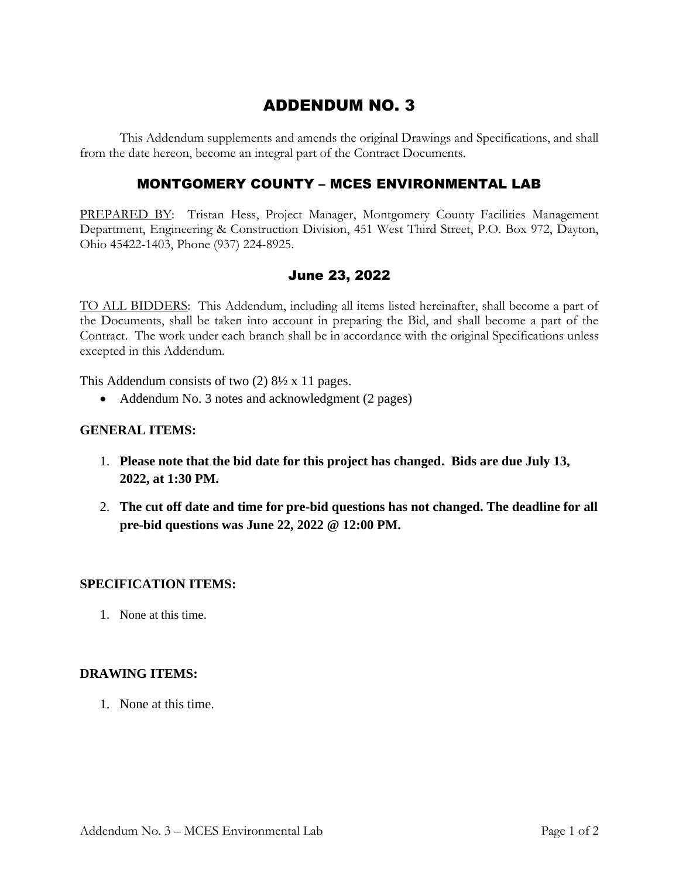# ADDENDUM NO. 3

This Addendum supplements and amends the original Drawings and Specifications, and shall from the date hereon, become an integral part of the Contract Documents.

### MONTGOMERY COUNTY – MCES ENVIRONMENTAL LAB

PREPARED BY: Tristan Hess, Project Manager, Montgomery County Facilities Management Department, Engineering & Construction Division, 451 West Third Street, P.O. Box 972, Dayton, Ohio 45422-1403, Phone (937) 224-8925.

## June 23, 2022

TO ALL BIDDERS: This Addendum, including all items listed hereinafter, shall become a part of the Documents, shall be taken into account in preparing the Bid, and shall become a part of the Contract. The work under each branch shall be in accordance with the original Specifications unless excepted in this Addendum.

This Addendum consists of two (2) 8½ x 11 pages.

• Addendum No. 3 notes and acknowledgment (2 pages)

#### **GENERAL ITEMS:**

- 1. **Please note that the bid date for this project has changed. Bids are due July 13, 2022, at 1:30 PM.**
- 2. **The cut off date and time for pre-bid questions has not changed. The deadline for all pre-bid questions was June 22, 2022 @ 12:00 PM.**

#### **SPECIFICATION ITEMS:**

1. None at this time.

#### **DRAWING ITEMS:**

1. None at this time.